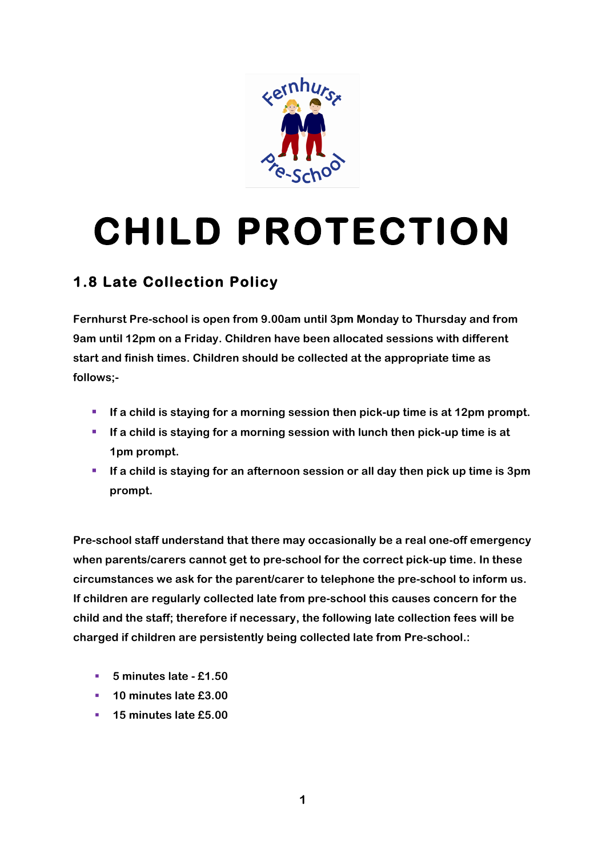

## **CHILD PROTECTION**

## **1.8 Late Collection Policy**

**Fernhurst Pre-school is open from 9.00am until 3pm Monday to Thursday and from 9am until 12pm on a Friday. Children have been allocated sessions with different start and finish times. Children should be collected at the appropriate time as follows;-**

- If a child is staying for a morning session then pick-up time is at 12pm prompt.
- If a child is staying for a morning session with lunch then pick-up time is at **1pm prompt.**
- **If a child is staying for an afternoon session or all day then pick up time is 3pm prompt.**

**Pre-school staff understand that there may occasionally be a real one-off emergency when parents/carers cannot get to pre-school for the correct pick-up time. In these circumstances we ask for the parent/carer to telephone the pre-school to inform us. If children are regularly collected late from pre-school this causes concern for the child and the staff; therefore if necessary, the following late collection fees will be charged if children are persistently being collected late from Pre-school.:**

- § **5 minutes late - £1.50**
- § **10 minutes late £3.00**
- § **15 minutes late £5.00**